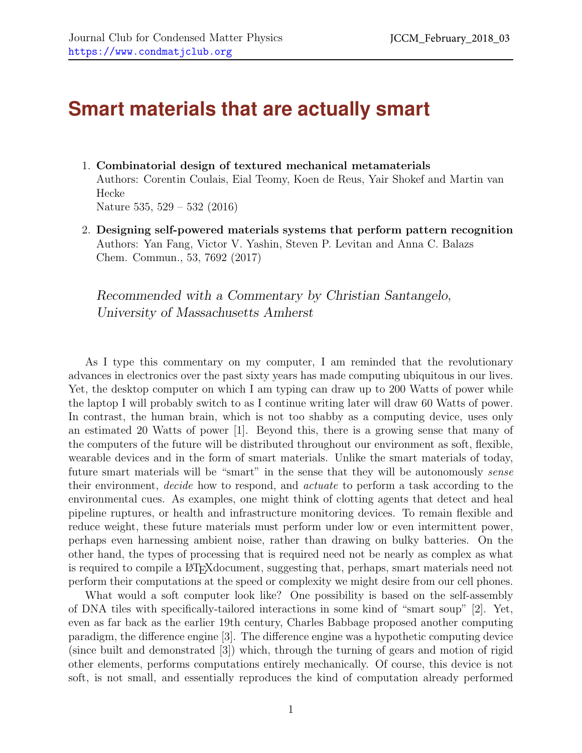## **Smart materials that are actually smart**

- 1. Combinatorial design of textured mechanical metamaterials Authors: Corentin Coulais, Eial Teomy, Koen de Reus, Yair Shokef and Martin van Hecke Nature 535, 529 – 532 (2016)
- 2. Designing self-powered materials systems that perform pattern recognition Authors: Yan Fang, Victor V. Yashin, Steven P. Levitan and Anna C. Balazs Chem. Commun., 53, 7692 (2017)

Recommended with a Commentary by Christian Santangelo, University of Massachusetts Amherst

As I type this commentary on my computer, I am reminded that the revolutionary advances in electronics over the past sixty years has made computing ubiquitous in our lives. Yet, the desktop computer on which I am typing can draw up to 200 Watts of power while the laptop I will probably switch to as I continue writing later will draw 60 Watts of power. In contrast, the human brain, which is not too shabby as a computing device, uses only an estimated 20 Watts of power [\[1\]](#page-2-0). Beyond this, there is a growing sense that many of the computers of the future will be distributed throughout our environment as soft, flexible, wearable devices and in the form of smart materials. Unlike the smart materials of today, future smart materials will be "smart" in the sense that they will be autonomously *sense* their environment, decide how to respond, and actuate to perform a task according to the environmental cues. As examples, one might think of clotting agents that detect and heal pipeline ruptures, or health and infrastructure monitoring devices. To remain flexible and reduce weight, these future materials must perform under low or even intermittent power, perhaps even harnessing ambient noise, rather than drawing on bulky batteries. On the other hand, the types of processing that is required need not be nearly as complex as what is required to compile a LATEXdocument, suggesting that, perhaps, smart materials need not perform their computations at the speed or complexity we might desire from our cell phones.

What would a soft computer look like? One possibility is based on the self-assembly of DNA tiles with specifically-tailored interactions in some kind of "smart soup" [\[2\]](#page-3-0). Yet, even as far back as the earlier 19th century, Charles Babbage proposed another computing paradigm, the difference engine [\[3\]](#page-3-1). The difference engine was a hypothetic computing device (since built and demonstrated [\[3\]](#page-3-1)) which, through the turning of gears and motion of rigid other elements, performs computations entirely mechanically. Of course, this device is not soft, is not small, and essentially reproduces the kind of computation already performed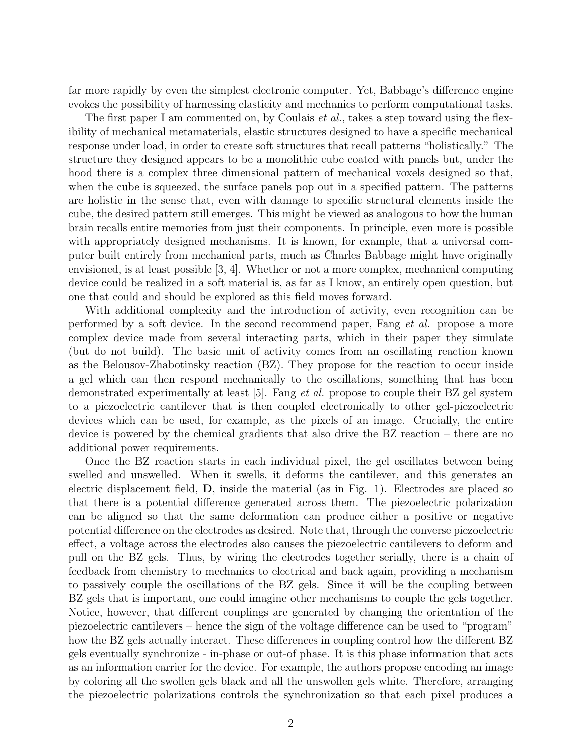far more rapidly by even the simplest electronic computer. Yet, Babbage's difference engine evokes the possibility of harnessing elasticity and mechanics to perform computational tasks.

The first paper I am commented on, by Coulais *et al.*, takes a step toward using the flexibility of mechanical metamaterials, elastic structures designed to have a specific mechanical response under load, in order to create soft structures that recall patterns "holistically." The structure they designed appears to be a monolithic cube coated with panels but, under the hood there is a complex three dimensional pattern of mechanical voxels designed so that, when the cube is squeezed, the surface panels pop out in a specified pattern. The patterns are holistic in the sense that, even with damage to specific structural elements inside the cube, the desired pattern still emerges. This might be viewed as analogous to how the human brain recalls entire memories from just their components. In principle, even more is possible with appropriately designed mechanisms. It is known, for example, that a universal computer built entirely from mechanical parts, much as Charles Babbage might have originally envisioned, is at least possible [\[3,](#page-3-1) [4\]](#page-3-2). Whether or not a more complex, mechanical computing device could be realized in a soft material is, as far as I know, an entirely open question, but one that could and should be explored as this field moves forward.

With additional complexity and the introduction of activity, even recognition can be performed by a soft device. In the second recommend paper, Fang et al. propose a more complex device made from several interacting parts, which in their paper they simulate (but do not build). The basic unit of activity comes from an oscillating reaction known as the Belousov-Zhabotinsky reaction (BZ). They propose for the reaction to occur inside a gel which can then respond mechanically to the oscillations, something that has been demonstrated experimentally at least [\[5\]](#page-3-3). Fang et al. propose to couple their BZ gel system to a piezoelectric cantilever that is then coupled electronically to other gel-piezoelectric devices which can be used, for example, as the pixels of an image. Crucially, the entire device is powered by the chemical gradients that also drive the BZ reaction – there are no additional power requirements.

Once the BZ reaction starts in each individual pixel, the gel oscillates between being swelled and unswelled. When it swells, it deforms the cantilever, and this generates an electric displacement field, D, inside the material (as in Fig. [1\)](#page-2-1). Electrodes are placed so that there is a potential difference generated across them. The piezoelectric polarization can be aligned so that the same deformation can produce either a positive or negative potential difference on the electrodes as desired. Note that, through the converse piezoelectric effect, a voltage across the electrodes also causes the piezoelectric cantilevers to deform and pull on the BZ gels. Thus, by wiring the electrodes together serially, there is a chain of feedback from chemistry to mechanics to electrical and back again, providing a mechanism to passively couple the oscillations of the BZ gels. Since it will be the coupling between BZ gels that is important, one could imagine other mechanisms to couple the gels together. Notice, however, that different couplings are generated by changing the orientation of the piezoelectric cantilevers – hence the sign of the voltage difference can be used to "program" how the BZ gels actually interact. These differences in coupling control how the different BZ gels eventually synchronize - in-phase or out-of phase. It is this phase information that acts as an information carrier for the device. For example, the authors propose encoding an image by coloring all the swollen gels black and all the unswollen gels white. Therefore, arranging the piezoelectric polarizations controls the synchronization so that each pixel produces a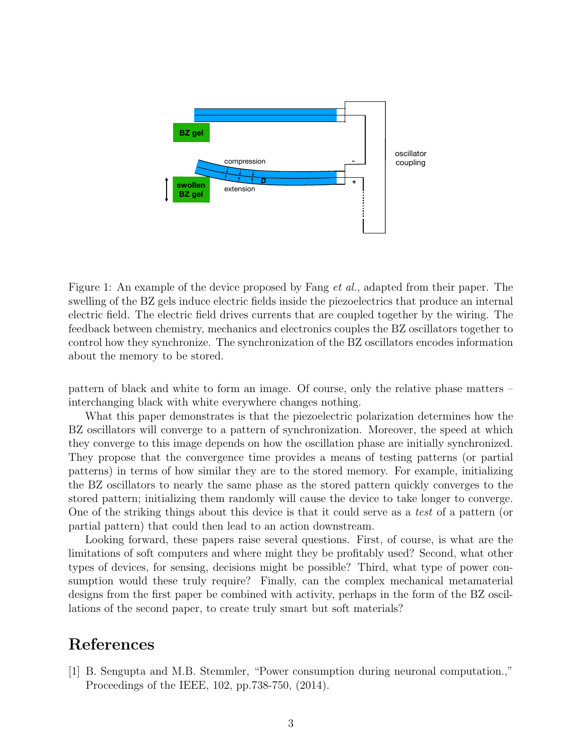

<span id="page-2-1"></span>Figure 1: An example of the device proposed by Fang *et al.*, adapted from their paper. The swelling of the BZ gels induce electric fields inside the piezoelectrics that produce an internal electric field. The electric field drives currents that are coupled together by the wiring. The feedback between chemistry, mechanics and electronics couples the BZ oscillators together to control how they synchronize. The synchronization of the BZ oscillators encodes information about the memory to be stored.

pattern of black and white to form an image. Of course, only the relative phase matters – interchanging black with white everywhere changes nothing.

What this paper demonstrates is that the piezoelectric polarization determines how the BZ oscillators will converge to a pattern of synchronization. Moreover, the speed at which they converge to this image depends on how the oscillation phase are initially synchronized. They propose that the convergence time provides a means of testing patterns (or partial patterns) in terms of how similar they are to the stored memory. For example, initializing the BZ oscillators to nearly the same phase as the stored pattern quickly converges to the stored pattern; initializing them randomly will cause the device to take longer to converge. One of the striking things about this device is that it could serve as a test of a pattern (or partial pattern) that could then lead to an action downstream.

Looking forward, these papers raise several questions. First, of course, is what are the limitations of soft computers and where might they be profitably used? Second, what other types of devices, for sensing, decisions might be possible? Third, what type of power consumption would these truly require? Finally, can the complex mechanical metamaterial designs from the first paper be combined with activity, perhaps in the form of the BZ oscillations of the second paper, to create truly smart but soft materials?

## References

<span id="page-2-0"></span>[1] B. Sengupta and M.B. Stemmler, "Power consumption during neuronal computation.," Proceedings of the IEEE, 102, pp.738-750, (2014).